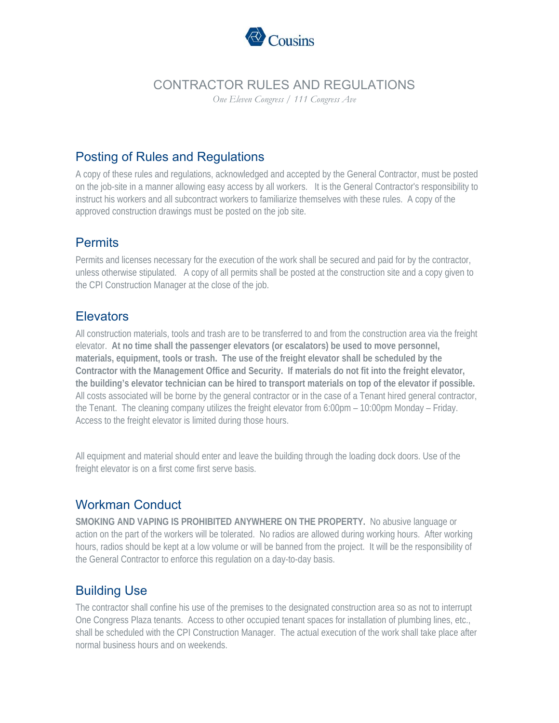

# CONTRACTOR RULES AND REGULATIONS

*One Eleven Congress / 111 Congress Ave* 

### Posting of Rules and Regulations

A copy of these rules and regulations, acknowledged and accepted by the General Contractor, must be posted on the job-site in a manner allowing easy access by all workers. It is the General Contractor's responsibility to instruct his workers and all subcontract workers to familiarize themselves with these rules. A copy of the approved construction drawings must be posted on the job site.

## **Permits**

Permits and licenses necessary for the execution of the work shall be secured and paid for by the contractor, unless otherwise stipulated. A copy of all permits shall be posted at the construction site and a copy given to the CPI Construction Manager at the close of the job.

### **Elevators**

All construction materials, tools and trash are to be transferred to and from the construction area via the freight elevator. **At no time shall the passenger elevators (or escalators) be used to move personnel, materials, equipment, tools or trash. The use of the freight elevator shall be scheduled by the Contractor with the Management Office and Security. If materials do not fit into the freight elevator, the building's elevator technician can be hired to transport materials on top of the elevator if possible.**  All costs associated will be borne by the general contractor or in the case of a Tenant hired general contractor, the Tenant. The cleaning company utilizes the freight elevator from 6:00pm – 10:00pm Monday – Friday. Access to the freight elevator is limited during those hours.

All equipment and material should enter and leave the building through the loading dock doors. Use of the freight elevator is on a first come first serve basis.

# Workman Conduct

**SMOKING AND VAPING IS PROHIBITED ANYWHERE ON THE PROPERTY.** No abusive language or action on the part of the workers will be tolerated. No radios are allowed during working hours. After working hours, radios should be kept at a low volume or will be banned from the project. It will be the responsibility of the General Contractor to enforce this regulation on a day-to-day basis.

# Building Use

The contractor shall confine his use of the premises to the designated construction area so as not to interrupt One Congress Plaza tenants. Access to other occupied tenant spaces for installation of plumbing lines, etc., shall be scheduled with the CPI Construction Manager. The actual execution of the work shall take place after normal business hours and on weekends.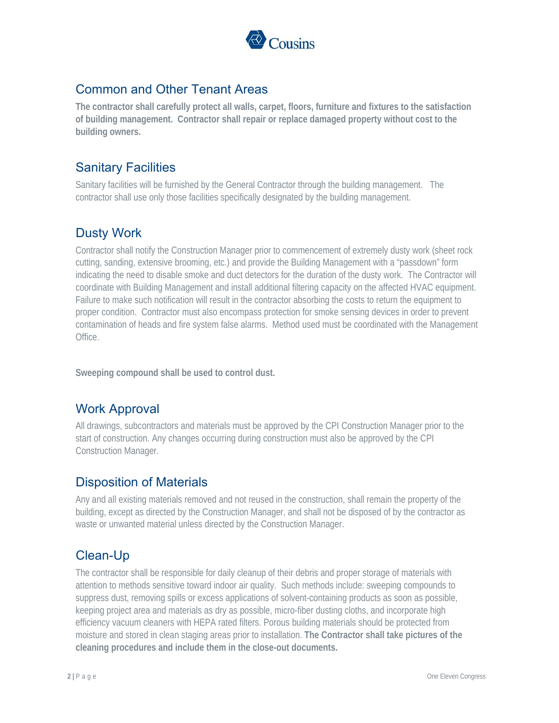

## Common and Other Tenant Areas

**The contractor shall carefully protect all walls, carpet, floors, furniture and fixtures to the satisfaction of building management. Contractor shall repair or replace damaged property without cost to the building owners.** 

## Sanitary Facilities

Sanitary facilities will be furnished by the General Contractor through the building management. The contractor shall use only those facilities specifically designated by the building management.

### Dusty Work

Contractor shall notify the Construction Manager prior to commencement of extremely dusty work (sheet rock cutting, sanding, extensive brooming, etc.) and provide the Building Management with a "passdown" form indicating the need to disable smoke and duct detectors for the duration of the dusty work. The Contractor will coordinate with Building Management and install additional filtering capacity on the affected HVAC equipment. Failure to make such notification will result in the contractor absorbing the costs to return the equipment to proper condition. Contractor must also encompass protection for smoke sensing devices in order to prevent contamination of heads and fire system false alarms. Method used must be coordinated with the Management Office.

**Sweeping compound shall be used to control dust.** 

### Work Approval

All drawings, subcontractors and materials must be approved by the CPI Construction Manager prior to the start of construction. Any changes occurring during construction must also be approved by the CPI Construction Manager.

#### Disposition of Materials

Any and all existing materials removed and not reused in the construction, shall remain the property of the building, except as directed by the Construction Manager, and shall not be disposed of by the contractor as waste or unwanted material unless directed by the Construction Manager.

# Clean-Up

The contractor shall be responsible for daily cleanup of their debris and proper storage of materials with attention to methods sensitive toward indoor air quality. Such methods include: sweeping compounds to suppress dust, removing spills or excess applications of solvent-containing products as soon as possible, keeping project area and materials as dry as possible, micro-fiber dusting cloths, and incorporate high efficiency vacuum cleaners with HEPA rated filters. Porous building materials should be protected from moisture and stored in clean staging areas prior to installation. **The Contractor shall take pictures of the cleaning procedures and include them in the close-out documents.**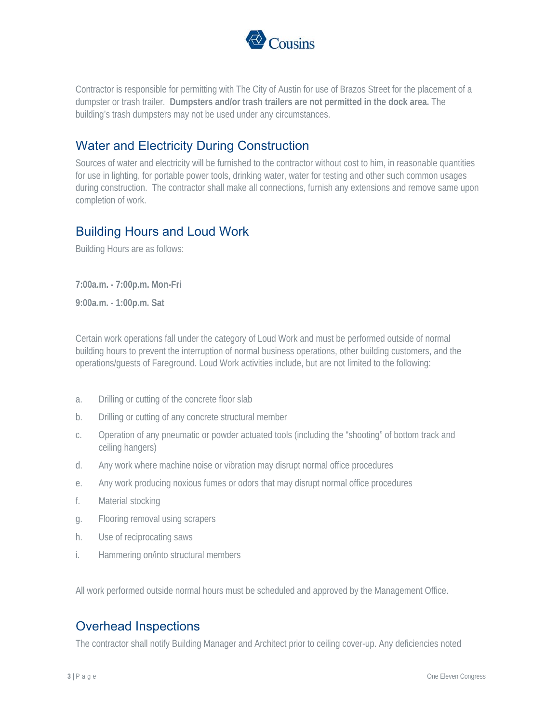

Contractor is responsible for permitting with The City of Austin for use of Brazos Street for the placement of a dumpster or trash trailer. **Dumpsters and/or trash trailers are not permitted in the dock area.** The building's trash dumpsters may not be used under any circumstances.

#### Water and Electricity During Construction

Sources of water and electricity will be furnished to the contractor without cost to him, in reasonable quantities for use in lighting, for portable power tools, drinking water, water for testing and other such common usages during construction. The contractor shall make all connections, furnish any extensions and remove same upon completion of work.

#### Building Hours and Loud Work

Building Hours are as follows:

**7:00a.m. - 7:00p.m. Mon-Fri 9:00a.m. - 1:00p.m. Sat** 

Certain work operations fall under the category of Loud Work and must be performed outside of normal building hours to prevent the interruption of normal business operations, other building customers, and the operations/guests of Fareground. Loud Work activities include, but are not limited to the following:

- a. Drilling or cutting of the concrete floor slab
- b. Drilling or cutting of any concrete structural member
- c. Operation of any pneumatic or powder actuated tools (including the "shooting" of bottom track and ceiling hangers)
- d. Any work where machine noise or vibration may disrupt normal office procedures
- e. Any work producing noxious fumes or odors that may disrupt normal office procedures
- f. Material stocking
- g. Flooring removal using scrapers
- h. Use of reciprocating saws
- i. Hammering on/into structural members

All work performed outside normal hours must be scheduled and approved by the Management Office.

#### Overhead Inspections

The contractor shall notify Building Manager and Architect prior to ceiling cover-up. Any deficiencies noted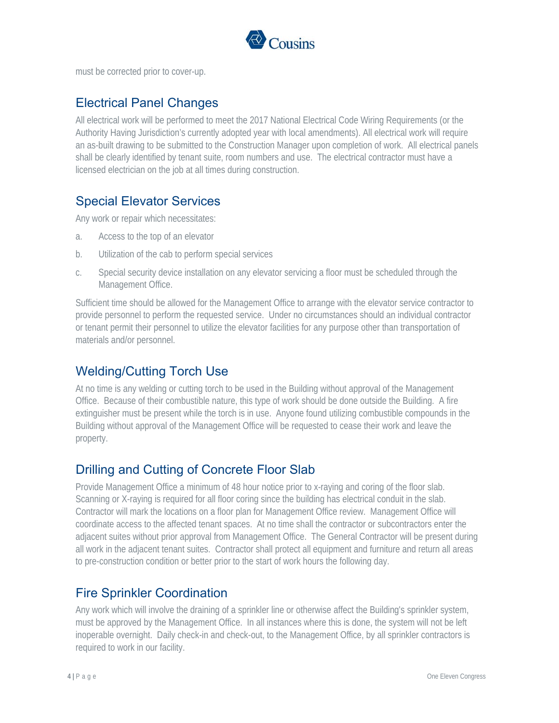

must be corrected prior to cover-up.

#### Electrical Panel Changes

All electrical work will be performed to meet the 2017 National Electrical Code Wiring Requirements (or the Authority Having Jurisdiction's currently adopted year with local amendments). All electrical work will require an as-built drawing to be submitted to the Construction Manager upon completion of work. All electrical panels shall be clearly identified by tenant suite, room numbers and use. The electrical contractor must have a licensed electrician on the job at all times during construction.

#### Special Elevator Services

Any work or repair which necessitates:

- a. Access to the top of an elevator
- b. Utilization of the cab to perform special services
- c. Special security device installation on any elevator servicing a floor must be scheduled through the Management Office.

Sufficient time should be allowed for the Management Office to arrange with the elevator service contractor to provide personnel to perform the requested service. Under no circumstances should an individual contractor or tenant permit their personnel to utilize the elevator facilities for any purpose other than transportation of materials and/or personnel.

### Welding/Cutting Torch Use

At no time is any welding or cutting torch to be used in the Building without approval of the Management Office. Because of their combustible nature, this type of work should be done outside the Building. A fire extinguisher must be present while the torch is in use. Anyone found utilizing combustible compounds in the Building without approval of the Management Office will be requested to cease their work and leave the property.

### Drilling and Cutting of Concrete Floor Slab

Provide Management Office a minimum of 48 hour notice prior to x-raying and coring of the floor slab. Scanning or X-raying is required for all floor coring since the building has electrical conduit in the slab. Contractor will mark the locations on a floor plan for Management Office review. Management Office will coordinate access to the affected tenant spaces. At no time shall the contractor or subcontractors enter the adjacent suites without prior approval from Management Office. The General Contractor will be present during all work in the adjacent tenant suites. Contractor shall protect all equipment and furniture and return all areas to pre-construction condition or better prior to the start of work hours the following day.

#### Fire Sprinkler Coordination

Any work which will involve the draining of a sprinkler line or otherwise affect the Building's sprinkler system, must be approved by the Management Office. In all instances where this is done, the system will not be left inoperable overnight. Daily check-in and check-out, to the Management Office, by all sprinkler contractors is required to work in our facility.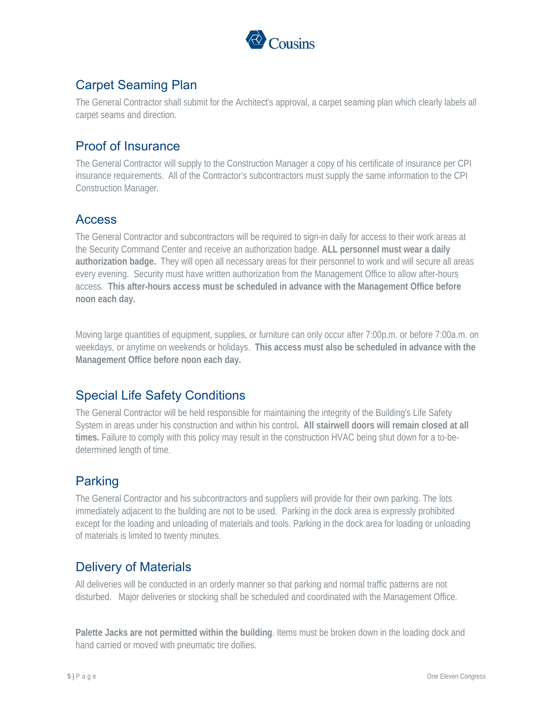

# Carpet Seaming Plan

The General Contractor shall submit for the Architect's approval, a carpet seaming plan which clearly labels all carpet seams and direction.

## Proof of Insurance

The General Contractor will supply to the Construction Manager a copy of his certificate of insurance per CPI insurance requirements. All of the Contractor's subcontractors must supply the same information to the CPI Construction Manager.

#### Access

The General Contractor and subcontractors will be required to sign-in daily for access to their work areas at the Security Command Center and receive an authorization badge. **ALL personnel must wear a daily authorization badge.** They will open all necessary areas for their personnel to work and will secure all areas every evening. Security must have written authorization from the Management Office to allow after-hours access. **This after-hours access must be scheduled in advance with the Management Office before noon each day.**

Moving large quantities of equipment, supplies, or furniture can only occur after 7:00p.m. or before 7:00a.m. on weekdays, or anytime on weekends or holidays. **This access must also be scheduled in advance with the Management Office before noon each day.** 

# Special Life Safety Conditions

The General Contractor will be held responsible for maintaining the integrity of the Building's Life Safety System in areas under his construction and within his control**. All stairwell doors will remain closed at all times.** Failure to comply with this policy may result in the construction HVAC being shut down for a to-bedetermined length of time.

# Parking

The General Contractor and his subcontractors and suppliers will provide for their own parking. The lots immediately adjacent to the building are not to be used. Parking in the dock area is expressly prohibited except for the loading and unloading of materials and tools. Parking in the dock area for loading or unloading of materials is limited to twenty minutes.

### Delivery of Materials

All deliveries will be conducted in an orderly manner so that parking and normal traffic patterns are not disturbed. Major deliveries or stocking shall be scheduled and coordinated with the Management Office.

**Palette Jacks are not permitted within the building**. Items must be broken down in the loading dock and hand carried or moved with pneumatic tire dollies.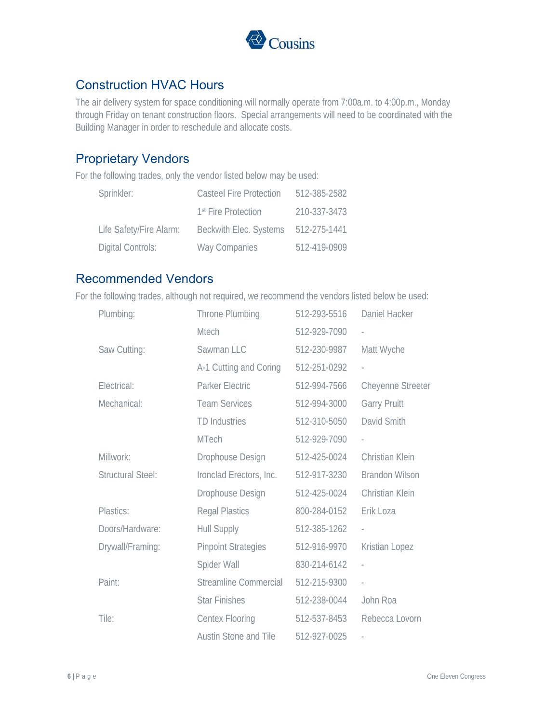

### Construction HVAC Hours

The air delivery system for space conditioning will normally operate from 7:00a.m. to 4:00p.m., Monday through Friday on tenant construction floors. Special arrangements will need to be coordinated with the Building Manager in order to reschedule and allocate costs.

#### Proprietary Vendors

For the following trades, only the vendor listed below may be used:

| Sprinkler:              | Casteel Fire Protection         | 512-385-2582 |
|-------------------------|---------------------------------|--------------|
|                         | 1 <sup>st</sup> Fire Protection | 210-337-3473 |
| Life Safety/Fire Alarm: | Beckwith Elec. Systems          | 512-275-1441 |
| Digital Controls:       | Way Companies                   | 512-419-0909 |

#### Recommended Vendors

For the following trades, although not required, we recommend the vendors listed below be used:

| Plumbing:                | Throne Plumbing              | 512-293-5516 | Daniel Hacker            |
|--------------------------|------------------------------|--------------|--------------------------|
|                          | <b>Mtech</b>                 | 512-929-7090 | $\frac{1}{2}$            |
| Saw Cutting:             | Sawman LLC                   | 512-230-9987 | Matt Wyche               |
|                          | A-1 Cutting and Coring       | 512-251-0292 | $\overline{\phantom{a}}$ |
| Electrical:              | Parker Electric              | 512-994-7566 | <b>Cheyenne Streeter</b> |
| Mechanical:              | <b>Team Services</b>         | 512-994-3000 | <b>Garry Pruitt</b>      |
|                          | <b>TD Industries</b>         | 512-310-5050 | David Smith              |
|                          | <b>MTech</b>                 | 512-929-7090 |                          |
| Millwork:                | Drophouse Design             | 512-425-0024 | Christian Klein          |
| <b>Structural Steel:</b> | Ironclad Erectors, Inc.      | 512-917-3230 | <b>Brandon Wilson</b>    |
|                          | Drophouse Design             | 512-425-0024 | Christian Klein          |
| Plastics:                | <b>Regal Plastics</b>        | 800-284-0152 | Erik Loza                |
| Doors/Hardware:          | <b>Hull Supply</b>           | 512-385-1262 | $\overline{a}$           |
| Drywall/Framing:         | <b>Pinpoint Strategies</b>   | 512-916-9970 | Kristian Lopez           |
|                          | Spider Wall                  | 830-214-6142 |                          |
| Paint:                   | <b>Streamline Commercial</b> | 512-215-9300 | $\overline{\phantom{0}}$ |
|                          | <b>Star Finishes</b>         | 512-238-0044 | John Roa                 |
| Tile:                    | <b>Centex Flooring</b>       | 512-537-8453 | Rebecca Lovorn           |
|                          | <b>Austin Stone and Tile</b> | 512-927-0025 |                          |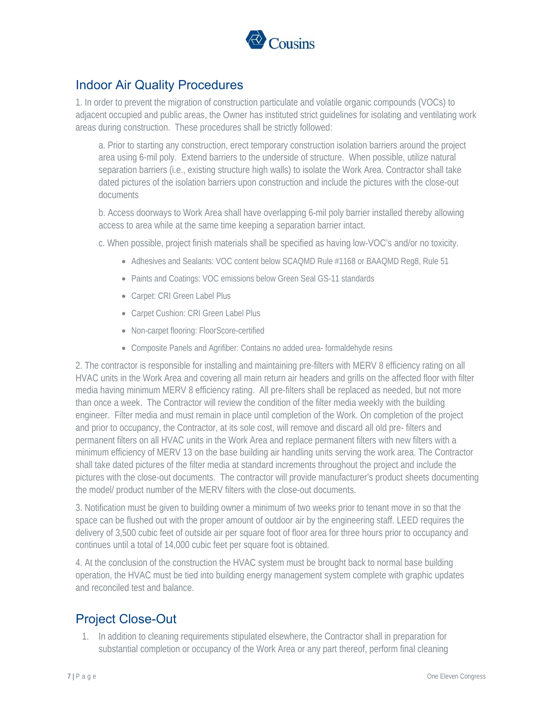

## Indoor Air Quality Procedures

1. In order to prevent the migration of construction particulate and volatile organic compounds (VOCs) to adjacent occupied and public areas, the Owner has instituted strict guidelines for isolating and ventilating work areas during construction. These procedures shall be strictly followed:

a. Prior to starting any construction, erect temporary construction isolation barriers around the project area using 6-mil poly. Extend barriers to the underside of structure. When possible, utilize natural separation barriers (i.e., existing structure high walls) to isolate the Work Area. Contractor shall take dated pictures of the isolation barriers upon construction and include the pictures with the close-out documents

b. Access doorways to Work Area shall have overlapping 6-mil poly barrier installed thereby allowing access to area while at the same time keeping a separation barrier intact.

c. When possible, project finish materials shall be specified as having low-VOC's and/or no toxicity.

- Adhesives and Sealants: VOC content below SCAQMD Rule #1168 or BAAQMD Reg8, Rule 51
- Paints and Coatings: VOC emissions below Green Seal GS-11 standards
- Carpet: CRI Green Label Plus
- Carpet Cushion: CRI Green Label Plus
- Non-carpet flooring: FloorScore-certified
- Composite Panels and Agrifiber: Contains no added urea- formaldehyde resins

2. The contractor is responsible for installing and maintaining pre-filters with MERV 8 efficiency rating on all HVAC units in the Work Area and covering all main return air headers and grills on the affected floor with filter media having minimum MERV 8 efficiency rating. All pre-filters shall be replaced as needed, but not more than once a week. The Contractor will review the condition of the filter media weekly with the building engineer. Filter media and must remain in place until completion of the Work. On completion of the project and prior to occupancy, the Contractor, at its sole cost, will remove and discard all old pre- filters and permanent filters on all HVAC units in the Work Area and replace permanent filters with new filters with a minimum efficiency of MERV 13 on the base building air handling units serving the work area. The Contractor shall take dated pictures of the filter media at standard increments throughout the project and include the pictures with the close-out documents. The contractor will provide manufacturer's product sheets documenting the model/ product number of the MERV filters with the close-out documents.

3. Notification must be given to building owner a minimum of two weeks prior to tenant move in so that the space can be flushed out with the proper amount of outdoor air by the engineering staff. LEED requires the delivery of 3,500 cubic feet of outside air per square foot of floor area for three hours prior to occupancy and continues until a total of 14,000 cubic feet per square foot is obtained.

4. At the conclusion of the construction the HVAC system must be brought back to normal base building operation, the HVAC must be tied into building energy management system complete with graphic updates and reconciled test and balance.

# Project Close-Out

1. In addition to cleaning requirements stipulated elsewhere, the Contractor shall in preparation for substantial completion or occupancy of the Work Area or any part thereof, perform final cleaning